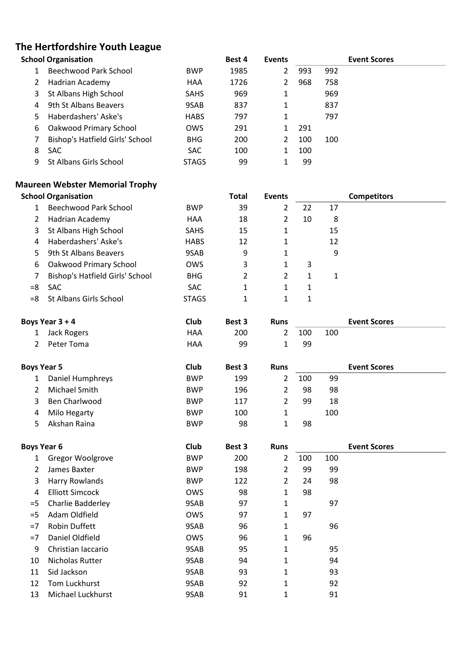## **The Hertfordshire Youth League**

|    | <b>School Organisation</b>      |              | Best 4 | <b>Events</b> |     |     | <b>Event Scores</b> |  |
|----|---------------------------------|--------------|--------|---------------|-----|-----|---------------------|--|
|    | Beechwood Park School           | <b>BWP</b>   | 1985   | 2             | 993 | 992 |                     |  |
|    | Hadrian Academy                 | <b>HAA</b>   | 1726   | 2             | 968 | 758 |                     |  |
| 3  | St Albans High School           | <b>SAHS</b>  | 969    |               |     | 969 |                     |  |
| 4  | 9th St Albans Beavers           | 9SAB         | 837    |               |     | 837 |                     |  |
| 5. | Haberdashers' Aske's            | <b>HABS</b>  | 797    |               |     | 797 |                     |  |
| 6  | Oakwood Primary School          | <b>OWS</b>   | 291    |               | 291 |     |                     |  |
|    | Bishop's Hatfield Girls' School | <b>BHG</b>   | 200    | 2             | 100 | 100 |                     |  |
| 8  | <b>SAC</b>                      | SAC.         | 100    |               | 100 |     |                     |  |
| 9  | St Albans Girls School          | <b>STAGS</b> | 99     |               | 99  |     |                     |  |

## **Maureen Webster Memorial Trophy**

|       | <b>School Organisation</b>      |              | <b>Total</b> | <b>Events</b> |    | <b>Competitors</b> |  |  |  |  |
|-------|---------------------------------|--------------|--------------|---------------|----|--------------------|--|--|--|--|
|       | Beechwood Park School           | <b>BWP</b>   | 39           | 2             | 22 | 17                 |  |  |  |  |
| 2     | Hadrian Academy                 | <b>HAA</b>   | 18           | 2             | 10 | 8                  |  |  |  |  |
| 3     | St Albans High School           | <b>SAHS</b>  | 15           | 1             |    | 15                 |  |  |  |  |
| 4     | Haberdashers' Aske's            | <b>HABS</b>  | 12           | 1             |    | 12                 |  |  |  |  |
| 5     | 9th St Albans Beavers           | 9SAB         | 9            | 1             |    | 9                  |  |  |  |  |
| 6     | Oakwood Primary School          | <b>OWS</b>   | 3            | 1             | 3  |                    |  |  |  |  |
|       | Bishop's Hatfield Girls' School | <b>BHG</b>   | 2            | 2             | 1  |                    |  |  |  |  |
| =8    | <b>SAC</b>                      | <b>SAC</b>   |              | 1             | 1  |                    |  |  |  |  |
| $= 8$ | St Albans Girls School          | <b>STAGS</b> |              |               | 1  |                    |  |  |  |  |

|   | Boys Year 3 + 4 | Club | Best 3 | <b>Runs</b> |     |     | <b>Event Scores</b> |  |
|---|-----------------|------|--------|-------------|-----|-----|---------------------|--|
|   | 1 Jack Rogers   | HAA  | 200    |             | 100 | 100 |                     |  |
| 2 | Peter Toma      | HAA  | 99     |             | 99  |     |                     |  |

|   | <b>Boys Year 5</b> | Club       | Best 3 | <b>Runs</b> |     |     | <b>Event Scores</b> |
|---|--------------------|------------|--------|-------------|-----|-----|---------------------|
|   | Daniel Humphreys   | <b>BWP</b> | 199    |             | 100 | 99  |                     |
|   | Michael Smith      | <b>BWP</b> | 196    |             | 98  | 98  |                     |
|   | Ben Charlwood      | <b>BWP</b> | 117    |             | 99  | 18  |                     |
| 4 | Milo Hegarty       | <b>BWP</b> | 100    |             |     | 100 |                     |
|   | Akshan Raina       | <b>BWP</b> | 98     |             | 98  |     |                     |

| <b>Boys Year 6</b> |                        | Club       | Best 3 |              | <b>Runs</b> |     | <b>Event Scores</b> |  |  |
|--------------------|------------------------|------------|--------|--------------|-------------|-----|---------------------|--|--|
| 1                  | Gregor Woolgrove       | <b>BWP</b> | 200    | 2            | 100         | 100 |                     |  |  |
| 2                  | James Baxter           | <b>BWP</b> | 198    | 2            | 99          | 99  |                     |  |  |
| 3                  | Harry Rowlands         | <b>BWP</b> | 122    | 2            | 24          | 98  |                     |  |  |
| 4                  | <b>Elliott Simcock</b> | <b>OWS</b> | 98     | 1            | 98          |     |                     |  |  |
| $=$ 5              | Charlie Badderley      | 9SAB       | 97     | $\mathbf 1$  |             | 97  |                     |  |  |
| $=$ 5              | Adam Oldfield          | <b>OWS</b> | 97     | 1            | 97          |     |                     |  |  |
| $=7$               | <b>Robin Duffett</b>   | 9SAB       | 96     | 1            |             | 96  |                     |  |  |
| $=7$               | Daniel Oldfield        | <b>OWS</b> | 96     | 1            | 96          |     |                     |  |  |
| 9                  | Christian Iaccario     | 9SAB       | 95     | 1            |             | 95  |                     |  |  |
| 10                 | Nicholas Rutter        | 9SAB       | 94     | 1            |             | 94  |                     |  |  |
| 11                 | Sid Jackson            | 9SAB       | 93     | 1            |             | 93  |                     |  |  |
| 12                 | Tom Luckhurst          | 9SAB       | 92     | 1            |             | 92  |                     |  |  |
| 13                 | Michael Luckhurst      | 9SAB       | 91     | $\mathbf{1}$ |             | 91  |                     |  |  |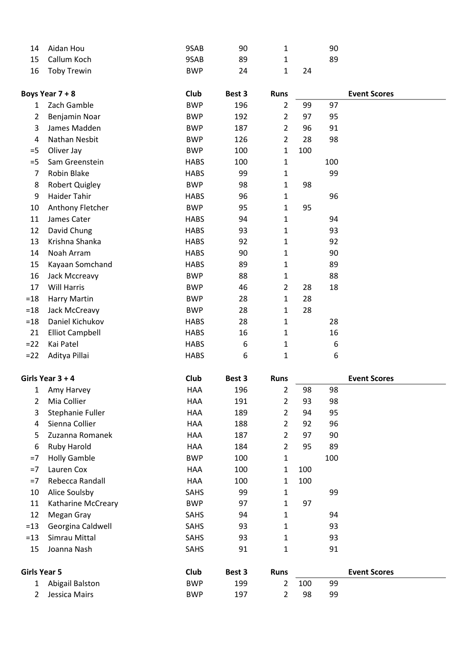| 14 Aidan Hou   | 9SAB       | 90 |    | 90 |
|----------------|------------|----|----|----|
| 15 Callum Koch | 9SAB       | 89 |    | 89 |
| 16 Toby Trewin | <b>BWP</b> | 24 | 24 |    |

|        | Boys Year 7 + 8        | Club        | Best 3 | <b>Runs</b>    |     |     | <b>Event Scores</b> |
|--------|------------------------|-------------|--------|----------------|-----|-----|---------------------|
| 1      | Zach Gamble            | <b>BWP</b>  | 196    | $\overline{2}$ | 99  | 97  |                     |
| 2      | Benjamin Noar          | <b>BWP</b>  | 192    | 2              | 97  | 95  |                     |
| 3      | James Madden           | <b>BWP</b>  | 187    | $\overline{2}$ | 96  | 91  |                     |
| 4      | Nathan Nesbit          | <b>BWP</b>  | 126    | $\overline{2}$ | 28  | 98  |                     |
| $=$ 5  | Oliver Jay             | <b>BWP</b>  | 100    | 1              | 100 |     |                     |
| $=$ 5  | Sam Greenstein         | <b>HABS</b> | 100    | 1              |     | 100 |                     |
| 7      | Robin Blake            | <b>HABS</b> | 99     | 1              |     | 99  |                     |
| 8      | <b>Robert Quigley</b>  | <b>BWP</b>  | 98     | $\mathbf{1}$   | 98  |     |                     |
| 9      | Haider Tahir           | <b>HABS</b> | 96     | $\mathbf{1}$   |     | 96  |                     |
| 10     | Anthony Fletcher       | <b>BWP</b>  | 95     | 1              | 95  |     |                     |
| 11     | James Cater            | <b>HABS</b> | 94     | $\mathbf{1}$   |     | 94  |                     |
| 12     | David Chung            | <b>HABS</b> | 93     | 1              |     | 93  |                     |
| 13     | Krishna Shanka         | <b>HABS</b> | 92     | 1              |     | 92  |                     |
| 14     | Noah Arram             | <b>HABS</b> | 90     | 1              |     | 90  |                     |
| 15     | Kayaan Somchand        | <b>HABS</b> | 89     | $\mathbf{1}$   |     | 89  |                     |
| 16     | Jack Mccreavy          | <b>BWP</b>  | 88     | 1              |     | 88  |                     |
| 17     | Will Harris            | <b>BWP</b>  | 46     | $\overline{2}$ | 28  | 18  |                     |
| $=18$  | Harry Martin           | <b>BWP</b>  | 28     | $\mathbf 1$    | 28  |     |                     |
| $=18$  | Jack McCreavy          | <b>BWP</b>  | 28     | 1              | 28  |     |                     |
| $=18$  | Daniel Kichukov        | <b>HABS</b> | 28     | $\mathbf 1$    |     | 28  |                     |
| 21     | <b>Elliot Campbell</b> | <b>HABS</b> | 16     | 1              |     | 16  |                     |
| $= 22$ | Kai Patel              | <b>HABS</b> | 6      | 1              |     | 6   |                     |
| $= 22$ | Aditya Pillai          | <b>HABS</b> | 6      | 1              |     | 6   |                     |

|                     | Girls Year $3 + 4$  | Club        | Best 3 | <b>Runs</b>    |     |     | <b>Event Scores</b> |
|---------------------|---------------------|-------------|--------|----------------|-----|-----|---------------------|
| 1                   | Amy Harvey          | HAA         | 196    | $\overline{2}$ | 98  | 98  |                     |
| 2                   | Mia Collier         | HAA         | 191    | 2              | 93  | 98  |                     |
| 3                   | Stephanie Fuller    | HAA         | 189    | 2              | 94  | 95  |                     |
| 4                   | Sienna Collier      | HAA         | 188    | 2              | 92  | 96  |                     |
| 5                   | Zuzanna Romanek     | HAA         | 187    | $\overline{2}$ | 97  | 90  |                     |
| 6                   | Ruby Harold         | HAA         | 184    | $\overline{2}$ | 95  | 89  |                     |
| $=7$                | <b>Holly Gamble</b> | <b>BWP</b>  | 100    | $\mathbf{1}$   |     | 100 |                     |
| $=7$                | Lauren Cox          | HAA         | 100    | 1              | 100 |     |                     |
| $=7$                | Rebecca Randall     | <b>HAA</b>  | 100    | 1              | 100 |     |                     |
| 10                  | Alice Soulsby       | <b>SAHS</b> | 99     | 1              |     | 99  |                     |
| 11                  | Katharine McCreary  | <b>BWP</b>  | 97     | 1              | 97  |     |                     |
| 12                  | Megan Gray          | SAHS        | 94     | 1              |     | 94  |                     |
| $=13$               | Georgina Caldwell   | <b>SAHS</b> | 93     | $\mathbf{1}$   |     | 93  |                     |
| $=13$               | Simrau Mittal       | SAHS        | 93     | 1              |     | 93  |                     |
| 15                  | Joanna Nash         | SAHS        | 91     | $\mathbf{1}$   |     | 91  |                     |
| <b>Girls Year 5</b> |                     | Club        | Best 3 | <b>Runs</b>    |     |     | <b>Event Scores</b> |
| 1                   | Abigail Balston     | <b>BWP</b>  | 199    | 2              | 100 | 99  |                     |
| 2                   | Jessica Mairs       | <b>BWP</b>  | 197    | 2              | 98  | 99  |                     |